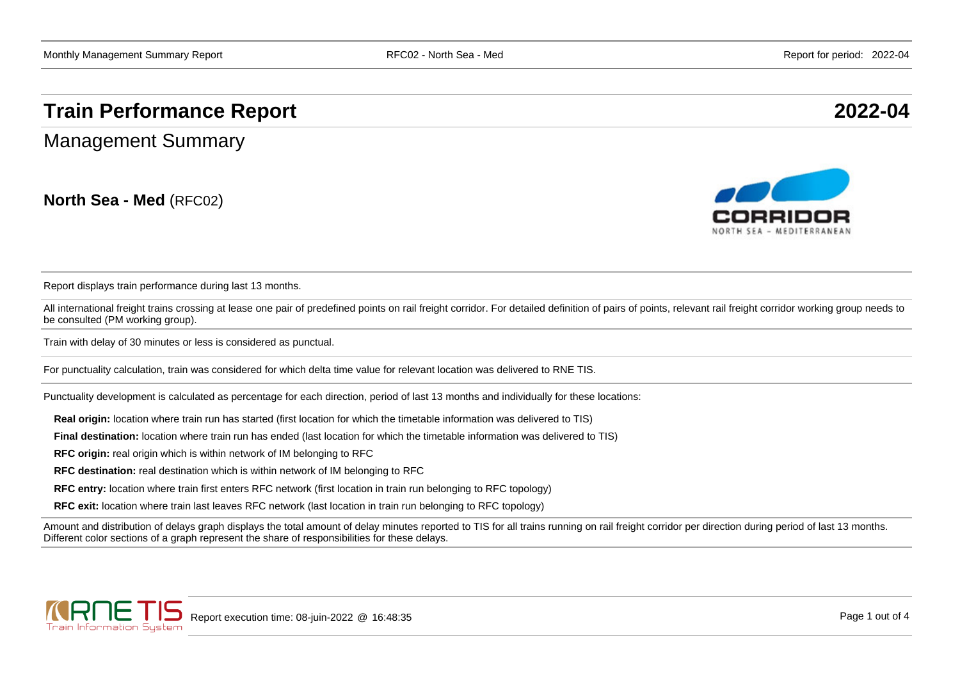## **Train Performance Report 2022-04**

Management Summary

**North Sea - Med** (RFC02)



Report displays train performance during last 13 months.

All international freight trains crossing at lease one pair of predefined points on rail freight corridor. For detailed definition of pairs of points, relevant rail freight corridor working group needs to be consulted (PM working group).

Train with delay of 30 minutes or less is considered as punctual.

For punctuality calculation, train was considered for which delta time value for relevant location was delivered to RNE TIS.

Punctuality development is calculated as percentage for each direction, period of last 13 months and individually for these locations:

**Real origin:** location where train run has started (first location for which the timetable information was delivered to TIS)

**Final destination:** location where train run has ended (last location for which the timetable information was delivered to TIS)

**RFC origin:** real origin which is within network of IM belonging to RFC

**RFC destination:** real destination which is within network of IM belonging to RFC

**RFC entry:** location where train first enters RFC network (first location in train run belonging to RFC topology)

**RFC exit:** location where train last leaves RFC network (last location in train run belonging to RFC topology)

Amount and distribution of delays graph displays the total amount of delay minutes reported to TIS for all trains running on rail freight corridor per direction during period of last 13 months. Different color sections of a graph represent the share of responsibilities for these delays.

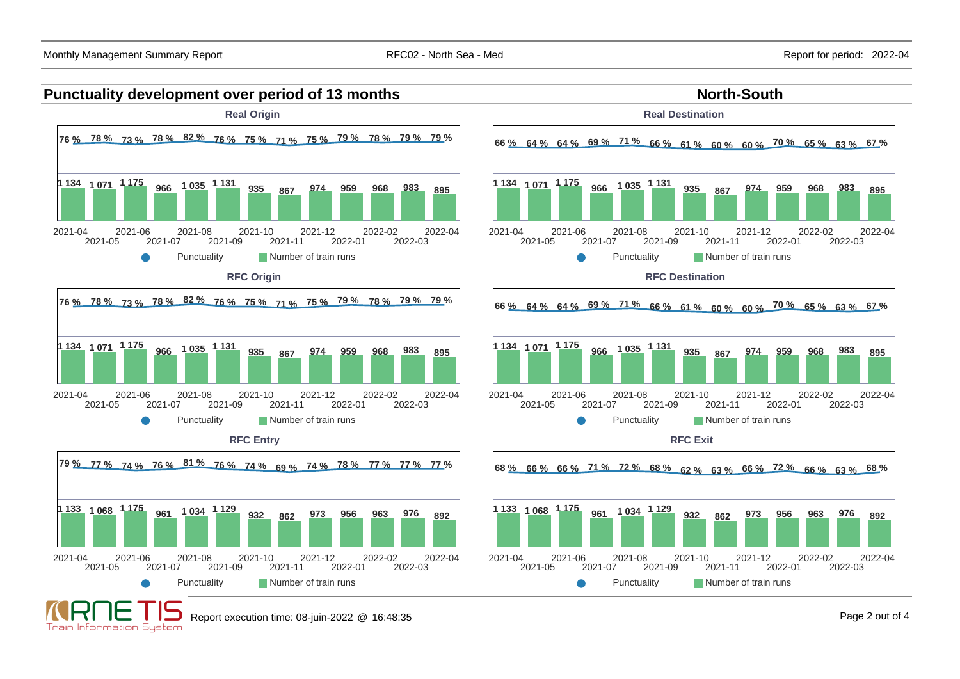



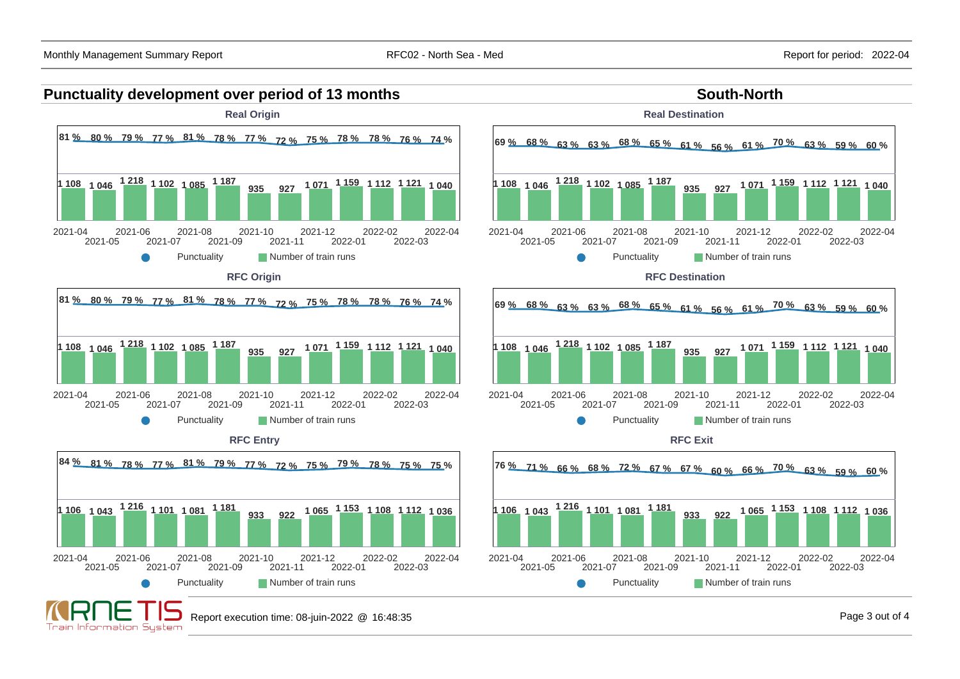## **Punctuality development over period of 13 months South-North South-North**